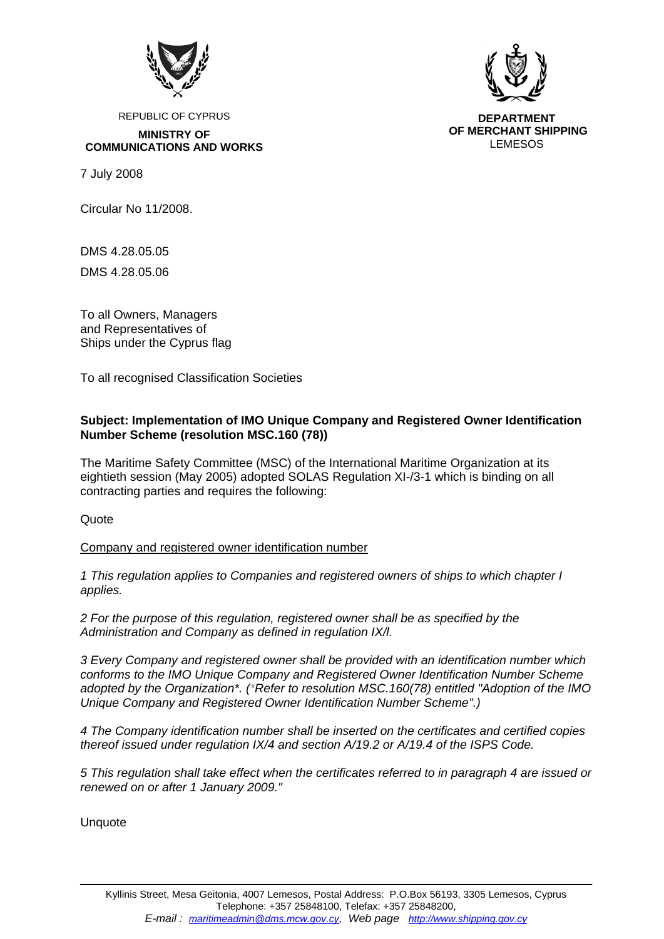

REPUBLIC OF CYPRUS

**MINISTRY OF COMMUNICATIONS AND WORKS** 

7 July 2008

Circular No 11/2008.

DMS 4.28.05.05

DMS 4.28.05.06

To all Owners, Managers and Representatives of Ships under the Cyprus flag

To all recognised Classification Societies

## **Subject: Implementation of IMO Unique Company and Registered Owner Identification Number Scheme (resolution MSC.160 (78))**

The Maritime Safety Committee (MSC) of the International Maritime Organization at its eightieth session (May 2005) adopted SOLAS Regulation XI-/3-1 which is binding on all contracting parties and requires the following:

Quote

Company and registered owner identification number

*1 This regulation applies to Companies and registered owners of ships to which chapter I applies.* 

*2 For the purpose of this regulation, registered owner shall be as specified by the Administration and Company as defined in regulation IX/l.* 

*3 Every Company and registered owner shall be provided with an identification number which conforms to the IMO Unique Company and Registered Owner Identification Number Scheme adopted by the Organization\*. (\*Refer to resolution MSC.160(78) entitled "Adoption of the IMO Unique Company and Registered Owner Identification Number Scheme".)* 

*4 The Company identification number shall be inserted on the certificates and certified copies thereof issued under regulation IX/4 and section A/19.2 or A/19.4 of the ISPS Code.* 

*5 This regulation shall take effect when the certificates referred to in paragraph 4 are issued or renewed on or after 1 January 2009."* 

Unquote



**DEPARTMENT OF MERCHANT SHIPPING**  LEMESOS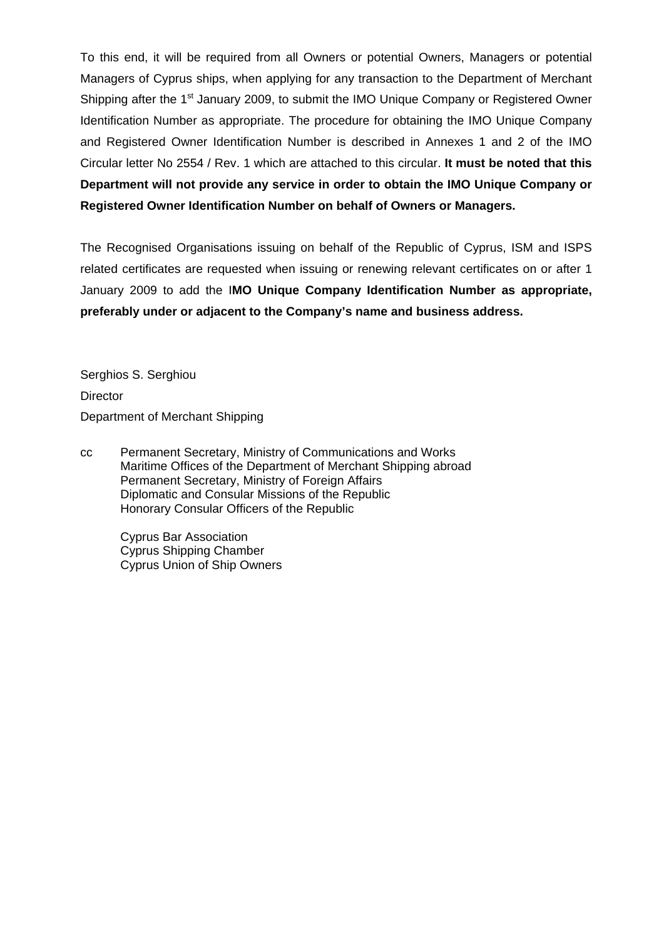To this end, it will be required from all Owners or potential Owners, Managers or potential Managers of Cyprus ships, when applying for any transaction to the Department of Merchant Shipping after the 1<sup>st</sup> January 2009, to submit the IMO Unique Company or Registered Owner Identification Number as appropriate. The procedure for obtaining the IMO Unique Company and Registered Owner Identification Number is described in Annexes 1 and 2 of the IMO Circular letter No 2554 / Rev. 1 which are attached to this circular. **It must be noted that this Department will not provide any service in order to obtain the IMO Unique Company or Registered Owner Identification Number on behalf of Owners or Managers.** 

The Recognised Organisations issuing on behalf of the Republic of Cyprus, ISM and ISPS related certificates are requested when issuing or renewing relevant certificates on or after 1 January 2009 to add the I**MO Unique Company Identification Number as appropriate, preferably under or adjacent to the Company's name and business address.**

Serghios S. Serghiou **Director** Department of Merchant Shipping

cc Permanent Secretary, Ministry of Communications and Works Maritime Offices of the Department of Merchant Shipping abroad Permanent Secretary, Ministry of Foreign Affairs Diplomatic and Consular Missions of the Republic Honorary Consular Officers of the Republic

> Cyprus Bar Association Cyprus Shipping Chamber Cyprus Union of Ship Owners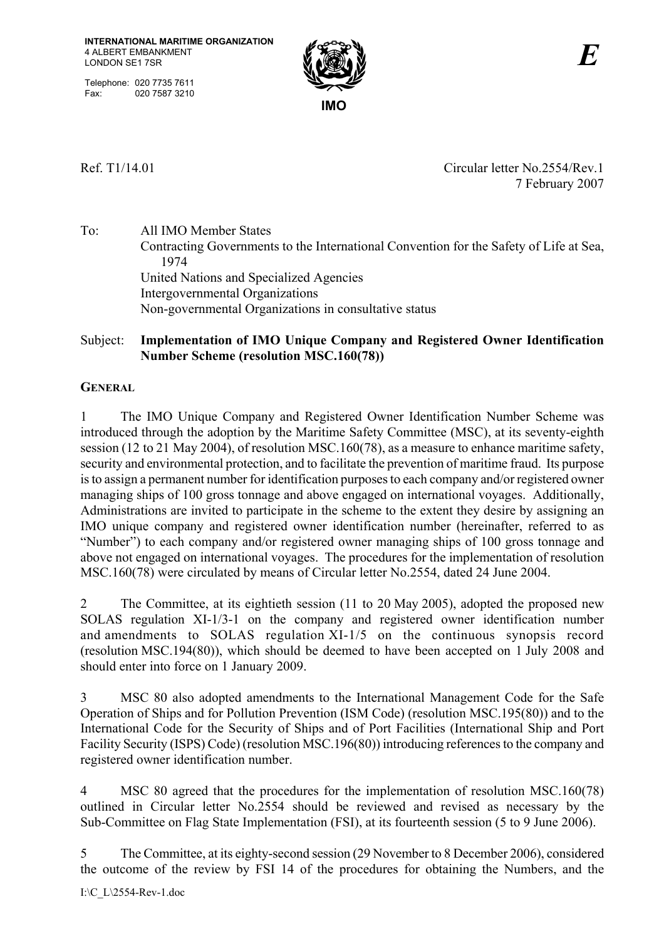Telephone: 020 7735 7611 Fax: 020 7587 3210



Ref. T1/14.01 Circular letter No.2554/Rev.1 7 February 2007

To: All IMO Member States Contracting Governments to the International Convention for the Safety of Life at Sea, 1974 United Nations and Specialized Agencies Intergovernmental Organizations Non-governmental Organizations in consultative status

# Subject: **Implementation of IMO Unique Company and Registered Owner Identification Number Scheme (resolution MSC.160(78))**

# **GENERAL**

1 The IMO Unique Company and Registered Owner Identification Number Scheme was introduced through the adoption by the Maritime Safety Committee (MSC), at its seventy-eighth session (12 to 21 May 2004), of resolution MSC.160(78), as a measure to enhance maritime safety, security and environmental protection, and to facilitate the prevention of maritime fraud. Its purpose is to assign a permanent number for identification purposes to each company and/or registered owner managing ships of 100 gross tonnage and above engaged on international voyages. Additionally, Administrations are invited to participate in the scheme to the extent they desire by assigning an IMO unique company and registered owner identification number (hereinafter, referred to as ìNumberî) to each company and/or registered owner managing ships of 100 gross tonnage and above not engaged on international voyages. The procedures for the implementation of resolution MSC.160(78) were circulated by means of Circular letter No.2554, dated 24 June 2004.

2 The Committee, at its eightieth session (11 to 20 May 2005), adopted the proposed new SOLAS regulation XI-1/3-1 on the company and registered owner identification number and amendments to SOLAS regulation XI-1/5 on the continuous synopsis record (resolution MSC.194(80)), which should be deemed to have been accepted on 1 July 2008 and should enter into force on 1 January 2009.

3 MSC 80 also adopted amendments to the International Management Code for the Safe Operation of Ships and for Pollution Prevention (ISM Code) (resolution MSC.195(80)) and to the International Code for the Security of Ships and of Port Facilities (International Ship and Port Facility Security (ISPS) Code) (resolution MSC.196(80)) introducing references to the company and registered owner identification number.

4 MSC 80 agreed that the procedures for the implementation of resolution MSC.160(78) outlined in Circular letter No.2554 should be reviewed and revised as necessary by the Sub-Committee on Flag State Implementation (FSI), at its fourteenth session (5 to 9 June 2006).

5 The Committee, at its eighty-second session (29 November to 8 December 2006), considered the outcome of the review by FSI 14 of the procedures for obtaining the Numbers, and the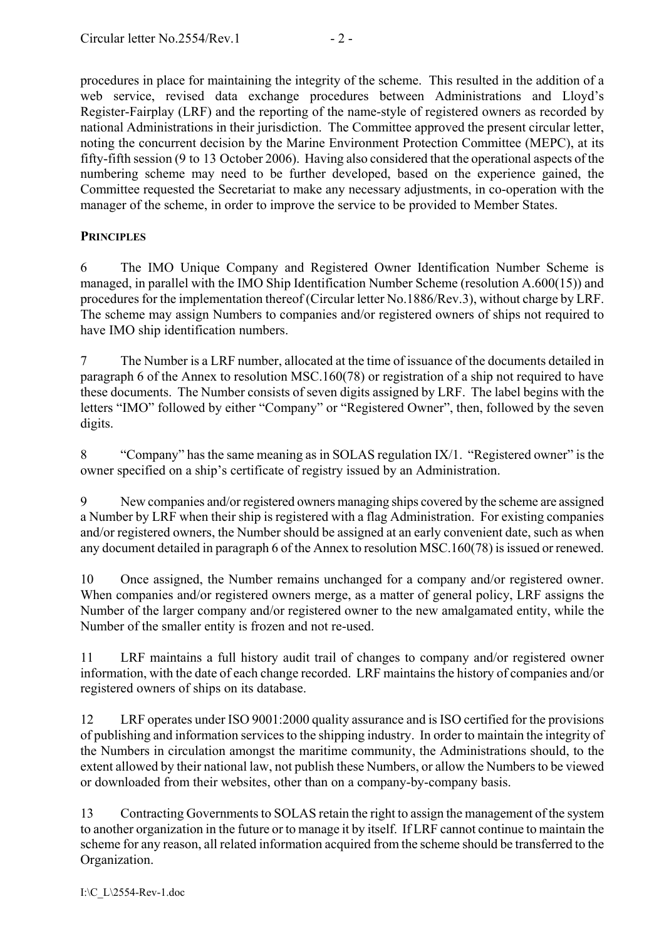procedures in place for maintaining the integrity of the scheme. This resulted in the addition of a web service, revised data exchange procedures between Administrations and Lloyd's Register-Fairplay (LRF) and the reporting of the name-style of registered owners as recorded by national Administrations in their jurisdiction. The Committee approved the present circular letter, noting the concurrent decision by the Marine Environment Protection Committee (MEPC), at its fifty-fifth session (9 to 13 October 2006). Having also considered that the operational aspects of the numbering scheme may need to be further developed, based on the experience gained, the Committee requested the Secretariat to make any necessary adjustments, in co-operation with the manager of the scheme, in order to improve the service to be provided to Member States.

# **PRINCIPLES**

6 The IMO Unique Company and Registered Owner Identification Number Scheme is managed, in parallel with the IMO Ship Identification Number Scheme (resolution A.600(15)) and procedures for the implementation thereof (Circular letter No.1886/Rev.3), without charge by LRF. The scheme may assign Numbers to companies and/or registered owners of ships not required to have IMO ship identification numbers.

7 The Number is a LRF number, allocated at the time of issuance of the documents detailed in paragraph 6 of the Annex to resolution MSC.160(78) or registration of a ship not required to have these documents. The Number consists of seven digits assigned by LRF. The label begins with the letters "IMO" followed by either "Company" or "Registered Owner", then, followed by the seven digits.

8  $\degree$  "Company" has the same meaning as in SOLAS regulation IX/1. "Registered owner" is the owner specified on a ship's certificate of registry issued by an Administration.

9 New companies and/or registered owners managing ships covered by the scheme are assigned a Number by LRF when their ship is registered with a flag Administration. For existing companies and/or registered owners, the Number should be assigned at an early convenient date, such as when any document detailed in paragraph 6 of the Annex to resolution MSC.160(78) is issued or renewed.

10 Once assigned, the Number remains unchanged for a company and/or registered owner. When companies and/or registered owners merge, as a matter of general policy, LRF assigns the Number of the larger company and/or registered owner to the new amalgamated entity, while the Number of the smaller entity is frozen and not re-used.

11 LRF maintains a full history audit trail of changes to company and/or registered owner information, with the date of each change recorded. LRF maintains the history of companies and/or registered owners of ships on its database.

12 LRF operates under ISO 9001:2000 quality assurance and is ISO certified for the provisions of publishing and information services to the shipping industry. In order to maintain the integrity of the Numbers in circulation amongst the maritime community, the Administrations should, to the extent allowed by their national law, not publish these Numbers, or allow the Numbers to be viewed or downloaded from their websites, other than on a company-by-company basis.

13 Contracting Governments to SOLAS retain the right to assign the management of the system to another organization in the future or to manage it by itself. If LRF cannot continue to maintain the scheme for any reason, all related information acquired from the scheme should be transferred to the Organization.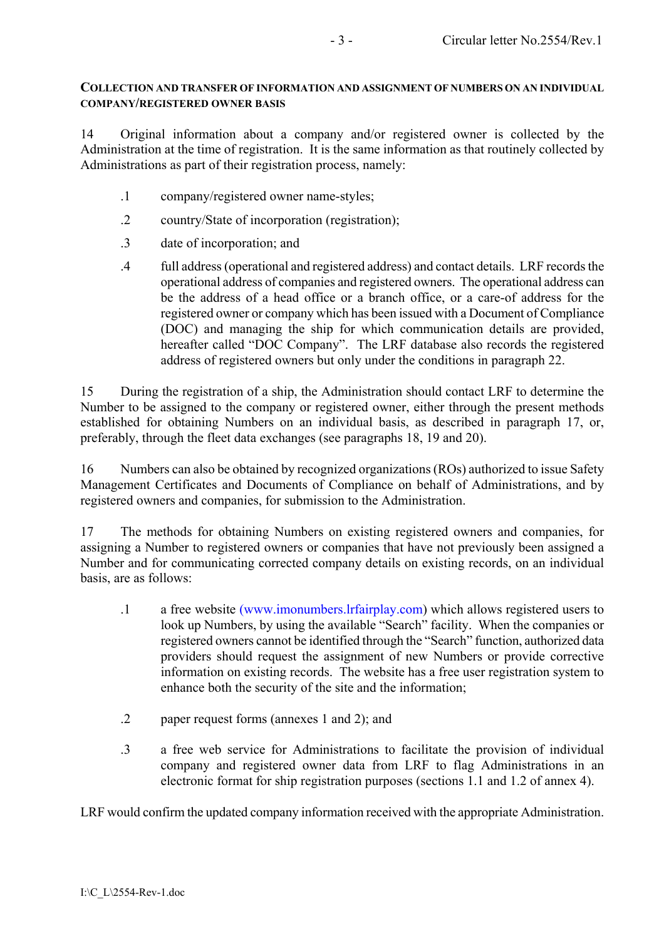### **COLLECTION AND TRANSFER OF INFORMATION AND ASSIGNMENT OF NUMBERS ON AN INDIVIDUAL COMPANY/REGISTERED OWNER BASIS**

14 Original information about a company and/or registered owner is collected by the Administration at the time of registration. It is the same information as that routinely collected by Administrations as part of their registration process, namely:

- .1 company/registered owner name-styles;
- .2 country/State of incorporation (registration);
- .3 date of incorporation; and
- .4 full address (operational and registered address) and contact details. LRF records the operational address of companies and registered owners. The operational address can be the address of a head office or a branch office, or a care-of address for the registered owner or company which has been issued with a Document of Compliance (DOC) and managing the ship for which communication details are provided, hereafter called "DOC Company". The LRF database also records the registered address of registered owners but only under the conditions in paragraph 22.

15 During the registration of a ship, the Administration should contact LRF to determine the Number to be assigned to the company or registered owner, either through the present methods established for obtaining Numbers on an individual basis, as described in paragraph 17, or, preferably, through the fleet data exchanges (see paragraphs 18, 19 and 20).

16 Numbers can also be obtained by recognized organizations (ROs) authorized to issue Safety Management Certificates and Documents of Compliance on behalf of Administrations, and by registered owners and companies, for submission to the Administration.

17 The methods for obtaining Numbers on existing registered owners and companies, for assigning a Number to registered owners or companies that have not previously been assigned a Number and for communicating corrected company details on existing records, on an individual basis, are as follows:

- .1 a free website (www.imonumbers.lrfairplay.com) which allows registered users to look up Numbers, by using the available "Search" facility. When the companies or registered owners cannot be identified through the "Search" function, authorized data providers should request the assignment of new Numbers or provide corrective information on existing records. The website has a free user registration system to enhance both the security of the site and the information;
- .2 paper request forms (annexes 1 and 2); and
- .3 a free web service for Administrations to facilitate the provision of individual company and registered owner data from LRF to flag Administrations in an electronic format for ship registration purposes (sections 1.1 and 1.2 of annex 4).

LRF would confirm the updated company information received with the appropriate Administration.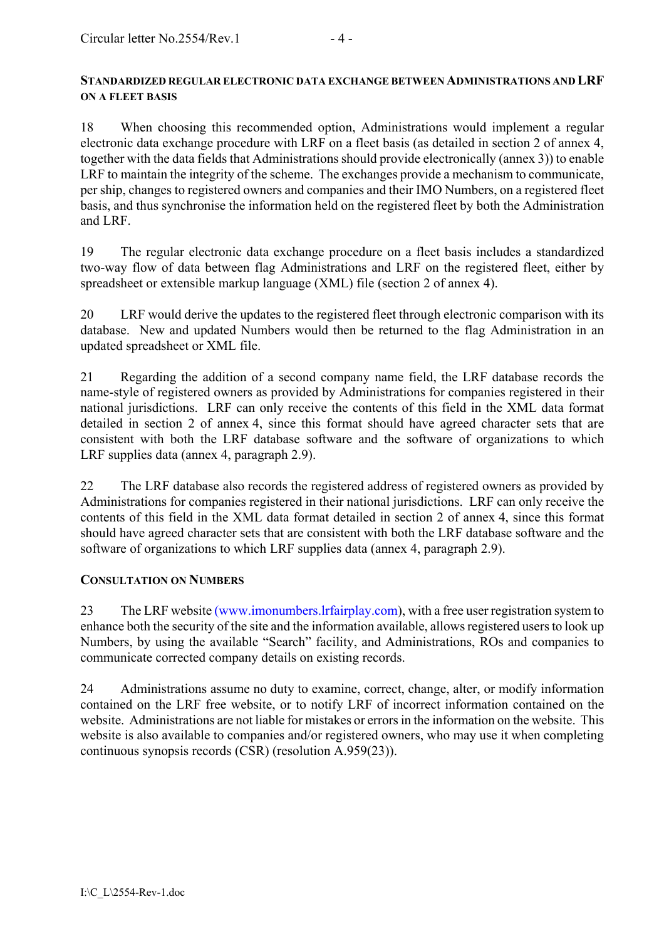## **STANDARDIZED REGULAR ELECTRONIC DATA EXCHANGE BETWEEN ADMINISTRATIONS AND LRF ON A FLEET BASIS**

18 When choosing this recommended option, Administrations would implement a regular electronic data exchange procedure with LRF on a fleet basis (as detailed in section 2 of annex 4, together with the data fields that Administrations should provide electronically (annex 3)) to enable LRF to maintain the integrity of the scheme. The exchanges provide a mechanism to communicate, per ship, changes to registered owners and companies and their IMO Numbers, on a registered fleet basis, and thus synchronise the information held on the registered fleet by both the Administration and LRF.

19 The regular electronic data exchange procedure on a fleet basis includes a standardized two-way flow of data between flag Administrations and LRF on the registered fleet, either by spreadsheet or extensible markup language (XML) file (section 2 of annex 4).

20 LRF would derive the updates to the registered fleet through electronic comparison with its database. New and updated Numbers would then be returned to the flag Administration in an updated spreadsheet or XML file.

21 Regarding the addition of a second company name field, the LRF database records the name-style of registered owners as provided by Administrations for companies registered in their national jurisdictions. LRF can only receive the contents of this field in the XML data format detailed in section 2 of annex 4, since this format should have agreed character sets that are consistent with both the LRF database software and the software of organizations to which LRF supplies data (annex 4, paragraph 2.9).

22 The LRF database also records the registered address of registered owners as provided by Administrations for companies registered in their national jurisdictions. LRF can only receive the contents of this field in the XML data format detailed in section 2 of annex 4, since this format should have agreed character sets that are consistent with both the LRF database software and the software of organizations to which LRF supplies data (annex 4, paragraph 2.9).

# **CONSULTATION ON NUMBERS**

23 The LRF website (www.imonumbers.lrfairplay.com), with a free user registration system to enhance both the security of the site and the information available, allows registered users to look up Numbers, by using the available "Search" facility, and Administrations, ROs and companies to communicate corrected company details on existing records.

24 Administrations assume no duty to examine, correct, change, alter, or modify information contained on the LRF free website, or to notify LRF of incorrect information contained on the website. Administrations are not liable for mistakes or errors in the information on the website. This website is also available to companies and/or registered owners, who may use it when completing continuous synopsis records (CSR) (resolution A.959(23)).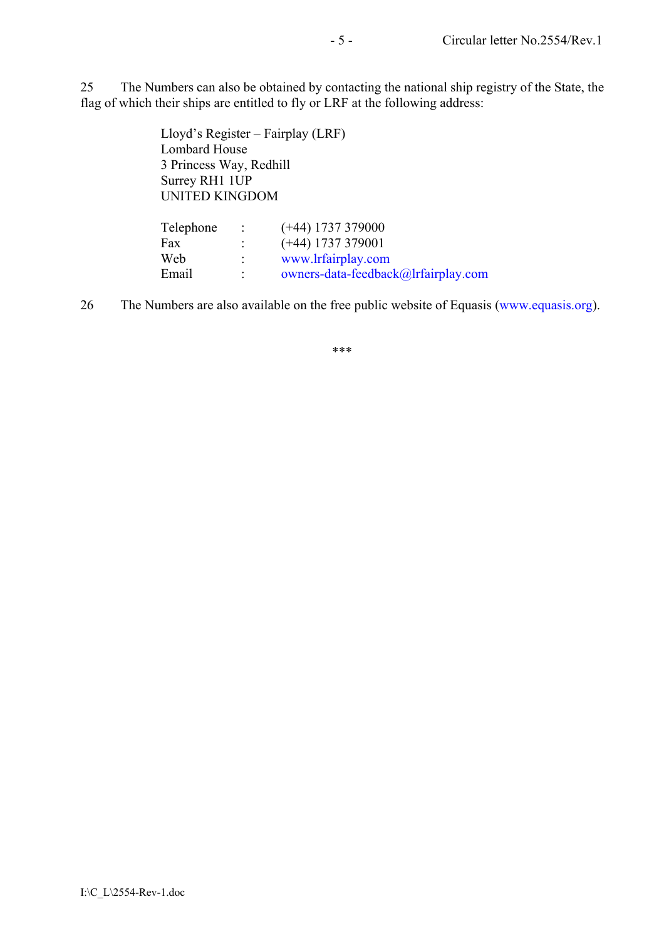25 The Numbers can also be obtained by contacting the national ship registry of the State, the flag of which their ships are entitled to fly or LRF at the following address:

> Lloyd's Register – Fairplay (LRF) Lombard House 3 Princess Way, Redhill Surrey RH1 1UP UNITED KINGDOM

| Telephone | $\mathcal{L} = \mathcal{L} \mathcal{L}$ | $(+44)$ 1737 379000                 |
|-----------|-----------------------------------------|-------------------------------------|
| Fax       |                                         | $(+44)$ 1737 379001                 |
| Web       |                                         | www.lrfairplay.com                  |
| Email     |                                         | owners-data-feedback@lrfairplay.com |

26 The Numbers are also available on the free public website of Equasis (www.equasis.org).

\*\*\*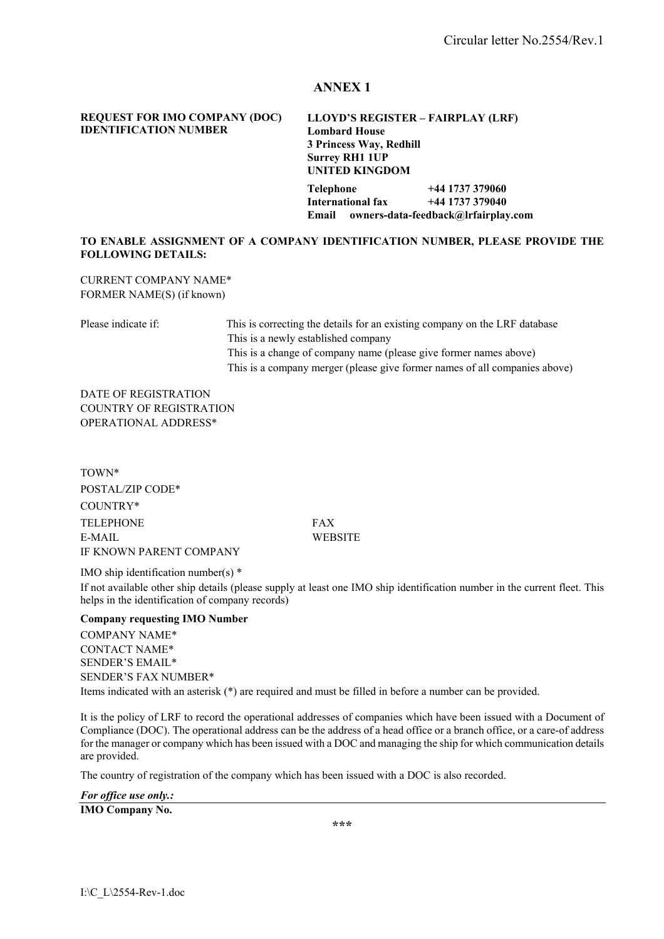#### **REQUEST FOR IMO COMPANY (DOC) IDENTIFICATION NUMBER**

#### **LLOYD'S REGISTER - FAIRPLAY (LRF) Lombard House 3 Princess Way, Redhill Surrey RH1 1UP UNITED KINGDOM**

**Telephone +44 1737 379060 International fax +44 1737 379040 Email owners-data-feedback@lrfairplay.com** 

#### **TO ENABLE ASSIGNMENT OF A COMPANY IDENTIFICATION NUMBER, PLEASE PROVIDE THE FOLLOWING DETAILS:**

CURRENT COMPANY NAME\* FORMER NAME(S) (if known)

Please indicate if: This is correcting the details for an existing company on the LRF database This is a newly established company This is a change of company name (please give former names above) This is a company merger (please give former names of all companies above)

DATE OF REGISTRATION COUNTRY OF REGISTRATION OPERATIONAL ADDRESS\*

TOWN\* POSTAL/ZIP CODE\* COUNTRY\* TELEPHONE FAX E-MAIL WEBSITE IF KNOWN PARENT COMPANY

IMO ship identification number(s) \*

If not available other ship details (please supply at least one IMO ship identification number in the current fleet. This helps in the identification of company records)

#### **Company requesting IMO Number**

COMPANY NAME\* CONTACT NAME\* SENDER'S EMAIL\* SENDER'S FAX NUMBER\* Items indicated with an asterisk (\*) are required and must be filled in before a number can be provided.

It is the policy of LRF to record the operational addresses of companies which have been issued with a Document of Compliance (DOC). The operational address can be the address of a head office or a branch office, or a care-of address for the manager or company which has been issued with a DOC and managing the ship for which communication details are provided.

The country of registration of the company which has been issued with a DOC is also recorded.

*For office use only.:*

**IMO Company No.** 

**\*\*\***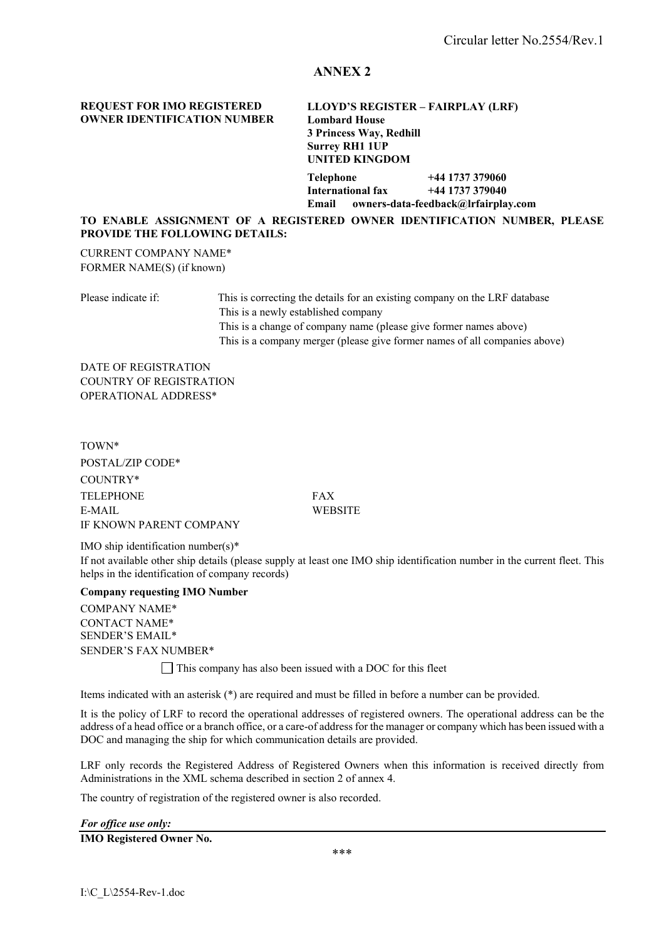#### **REQUEST FOR IMO REGISTERED OWNER IDENTIFICATION NUMBER**

**LLOYD'S REGISTER - FAIRPLAY (LRF) Lombard House 3 Princess Way, Redhill Surrey RH1 1UP UNITED KINGDOM** 

**Telephone +44 1737 379060 International fax +44 1737 379040 Email owners-data-feedback@lrfairplay.com** 

#### **TO ENABLE ASSIGNMENT OF A REGISTERED OWNER IDENTIFICATION NUMBER, PLEASE PROVIDE THE FOLLOWING DETAILS:**

CURRENT COMPANY NAME\* FORMER NAME(S) (if known)

Please indicate if: This is correcting the details for an existing company on the LRF database This is a newly established company This is a change of company name (please give former names above) This is a company merger (please give former names of all companies above)

DATE OF REGISTRATION COUNTRY OF REGISTRATION OPERATIONAL ADDRESS\*

TOWN\* POSTAL/ZIP CODE\* COUNTRY\* TELEPHONE FAX E-MAIL WEBSITE IF KNOWN PARENT COMPANY

IMO ship identification number(s)\* If not available other ship details (please supply at least one IMO ship identification number in the current fleet. This helps in the identification of company records)

#### **Company requesting IMO Number**

 COMPANY NAME\* CONTACT NAME\* SENDER'S EMAIL\* SENDER'S FAX NUMBER\*

This company has also been issued with a DOC for this fleet

Items indicated with an asterisk (\*) are required and must be filled in before a number can be provided.

It is the policy of LRF to record the operational addresses of registered owners. The operational address can be the address of a head office or a branch office, or a care-of address for the manager or company which has been issued with a DOC and managing the ship for which communication details are provided.

LRF only records the Registered Address of Registered Owners when this information is received directly from Administrations in the XML schema described in section 2 of annex 4.

The country of registration of the registered owner is also recorded.

| For office use only:            |  |  |
|---------------------------------|--|--|
| <b>IMO Registered Owner No.</b> |  |  |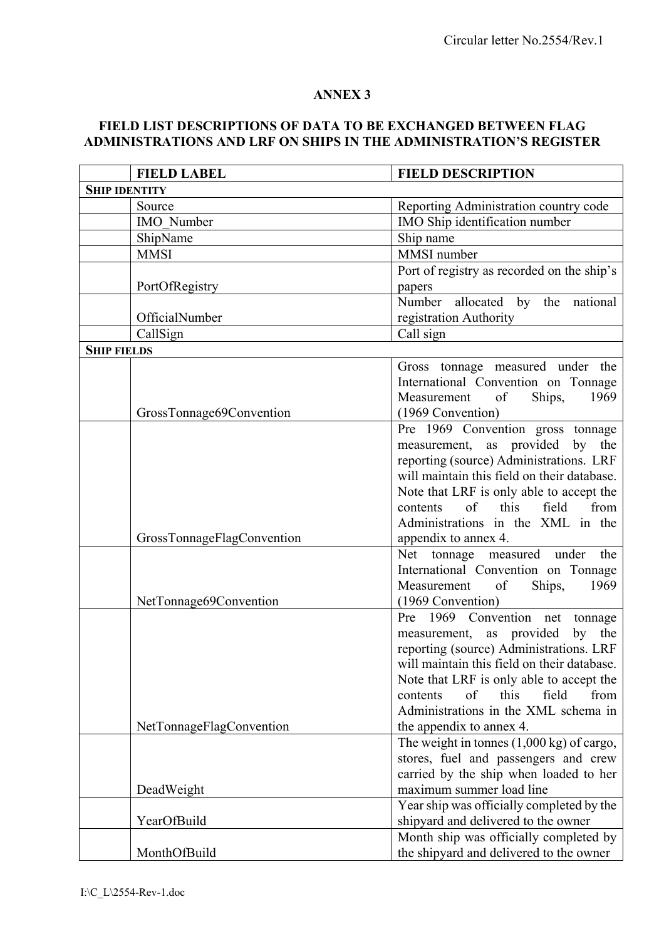# **FIELD LIST DESCRIPTIONS OF DATA TO BE EXCHANGED BETWEEN FLAG**  ADMINISTRATIONS AND LRF ON SHIPS IN THE ADMINISTRATION'S REGISTER

|                      | <b>FIELD LABEL</b>         | <b>FIELD DESCRIPTION</b>                            |
|----------------------|----------------------------|-----------------------------------------------------|
| <b>SHIP IDENTITY</b> |                            |                                                     |
|                      | Source                     | Reporting Administration country code               |
|                      | IMO Number                 | IMO Ship identification number                      |
|                      | ShipName                   | Ship name                                           |
|                      | <b>MMSI</b>                | MMSI number                                         |
|                      |                            | Port of registry as recorded on the ship's          |
|                      | PortOfRegistry             | papers                                              |
|                      |                            | Number allocated by the national                    |
|                      | OfficialNumber             | registration Authority                              |
|                      | CallSign                   | Call sign                                           |
| <b>SHIP FIELDS</b>   |                            |                                                     |
|                      |                            | Gross tonnage measured under the                    |
|                      |                            | International Convention on Tonnage                 |
|                      |                            | Measurement<br>of<br>Ships,<br>1969                 |
|                      | GrossTonnage69Convention   | (1969 Convention)                                   |
|                      |                            | Pre 1969 Convention gross tonnage                   |
|                      |                            | measurement, as provided by the                     |
|                      |                            | reporting (source) Administrations. LRF             |
|                      |                            | will maintain this field on their database.         |
|                      |                            | Note that LRF is only able to accept the            |
|                      |                            | this<br>from<br>contents<br>of<br>field             |
|                      |                            | Administrations in the XML in the                   |
|                      | GrossTonnageFlagConvention | appendix to annex 4.                                |
|                      |                            | Net tonnage measured under<br>the                   |
|                      |                            | International Convention on Tonnage                 |
|                      |                            | Measurement<br>of<br>Ships,<br>1969                 |
|                      | NetTonnage69Convention     | (1969 Convention)                                   |
|                      |                            | Pre 1969 Convention net tonnage                     |
|                      |                            | measurement, as provided<br>by the                  |
|                      |                            | reporting (source) Administrations. LRF             |
|                      |                            | will maintain this field on their database.         |
|                      |                            | Note that LRF is only able to accept the            |
|                      |                            | of<br>this<br>field<br>from<br>contents             |
|                      |                            | Administrations in the XML schema in                |
|                      | NetTonnageFlagConvention   | the appendix to annex 4.                            |
|                      |                            | The weight in tonnes $(1,000 \text{ kg})$ of cargo, |
|                      |                            | stores, fuel and passengers and crew                |
|                      |                            | carried by the ship when loaded to her              |
|                      | DeadWeight                 | maximum summer load line                            |
|                      |                            | Year ship was officially completed by the           |
|                      | YearOfBuild                | shipyard and delivered to the owner                 |
|                      |                            | Month ship was officially completed by              |
|                      | MonthOfBuild               | the shipyard and delivered to the owner             |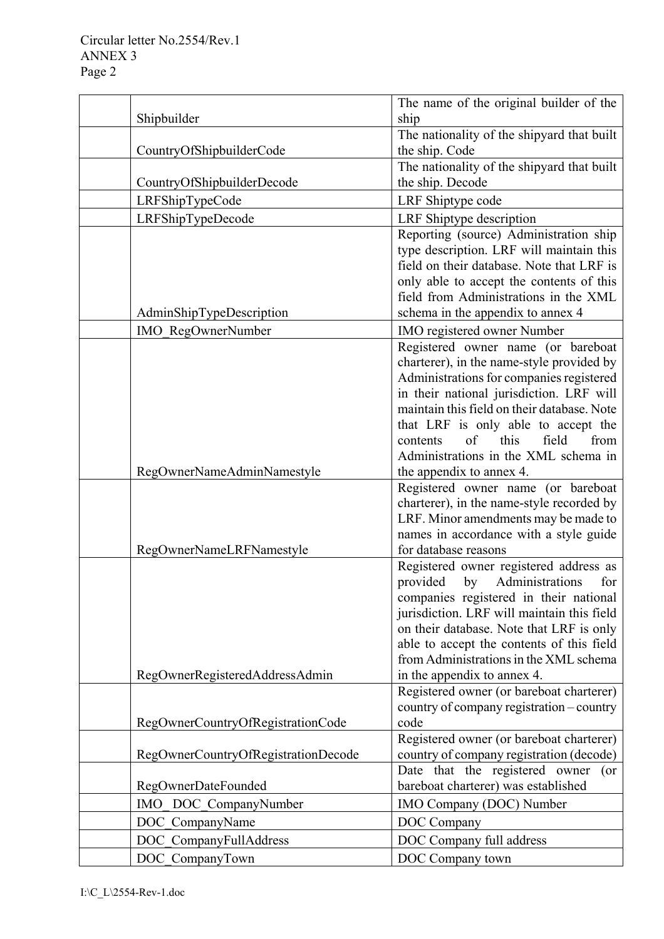|                                     | The name of the original builder of the                                        |
|-------------------------------------|--------------------------------------------------------------------------------|
| Shipbuilder                         | ship                                                                           |
|                                     | The nationality of the shipyard that built                                     |
| CountryOfShipbuilderCode            | the ship. Code                                                                 |
|                                     | The nationality of the shipyard that built                                     |
| CountryOfShipbuilderDecode          | the ship. Decode                                                               |
| LRFShipTypeCode                     | LRF Shiptype code                                                              |
| LRFShipTypeDecode                   | LRF Shiptype description                                                       |
|                                     | Reporting (source) Administration ship                                         |
|                                     | type description. LRF will maintain this                                       |
|                                     | field on their database. Note that LRF is                                      |
|                                     | only able to accept the contents of this                                       |
|                                     | field from Administrations in the XML                                          |
| AdminShipTypeDescription            | schema in the appendix to annex 4                                              |
| IMO_RegOwnerNumber                  | IMO registered owner Number                                                    |
|                                     | Registered owner name (or bareboat                                             |
|                                     | charterer), in the name-style provided by                                      |
|                                     | Administrations for companies registered                                       |
|                                     | in their national jurisdiction. LRF will                                       |
|                                     | maintain this field on their database. Note                                    |
|                                     | that LRF is only able to accept the<br>of<br>this<br>field<br>from<br>contents |
|                                     | Administrations in the XML schema in                                           |
| RegOwnerNameAdminNamestyle          | the appendix to annex 4.                                                       |
|                                     | Registered owner name (or bareboat                                             |
|                                     | charterer), in the name-style recorded by                                      |
|                                     | LRF. Minor amendments may be made to                                           |
|                                     | names in accordance with a style guide                                         |
| RegOwnerNameLRFNamestyle            | for database reasons                                                           |
|                                     | Registered owner registered address as                                         |
|                                     | Administrations<br>provided<br>by<br>for                                       |
|                                     | companies registered in their national                                         |
|                                     | jurisdiction. LRF will maintain this field                                     |
|                                     | on their database. Note that LRF is only                                       |
|                                     | able to accept the contents of this field                                      |
|                                     | from Administrations in the XML schema                                         |
| RegOwnerRegisteredAddressAdmin      | in the appendix to annex 4.                                                    |
|                                     | Registered owner (or bareboat charterer)                                       |
|                                     | country of company registration – country<br>code                              |
| RegOwnerCountryOfRegistrationCode   | Registered owner (or bareboat charterer)                                       |
| RegOwnerCountryOfRegistrationDecode | country of company registration (decode)                                       |
|                                     | Date that the registered owner<br>$($ or                                       |
| <b>RegOwnerDateFounded</b>          | bareboat charterer) was established                                            |
| DOC_CompanyNumber<br><b>IMO</b>     | IMO Company (DOC) Number                                                       |
| DOC CompanyName                     | DOC Company                                                                    |
| DOC CompanyFullAddress              | DOC Company full address                                                       |
|                                     |                                                                                |
| DOC_CompanyTown                     | DOC Company town                                                               |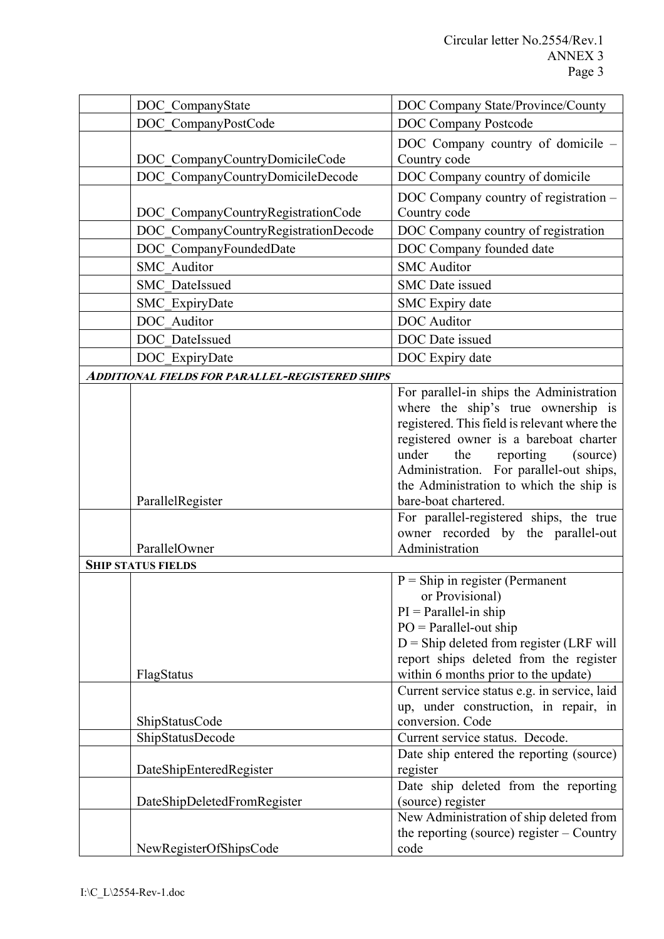| DOC_CompanyState                                       | DOC Company State/Province/County                                                     |
|--------------------------------------------------------|---------------------------------------------------------------------------------------|
| DOC CompanyPostCode                                    | <b>DOC Company Postcode</b>                                                           |
|                                                        | DOC Company country of domicile -                                                     |
| DOC CompanyCountryDomicileCode                         | Country code                                                                          |
| DOC CompanyCountryDomicileDecode                       | DOC Company country of domicile                                                       |
|                                                        | DOC Company country of registration -                                                 |
| DOC CompanyCountryRegistrationCode                     | Country code                                                                          |
| DOC CompanyCountryRegistrationDecode                   | DOC Company country of registration                                                   |
| DOC CompanyFoundedDate                                 | DOC Company founded date                                                              |
| <b>SMC</b> Auditor                                     | <b>SMC</b> Auditor                                                                    |
| SMC DateIssued                                         | <b>SMC</b> Date issued                                                                |
| SMC ExpiryDate                                         | SMC Expiry date                                                                       |
| DOC Auditor                                            | <b>DOC</b> Auditor                                                                    |
| DOC DateIssued                                         | DOC Date issued                                                                       |
| DOC_ExpiryDate                                         | DOC Expiry date                                                                       |
| <b>ADDITIONAL FIELDS FOR PARALLEL-REGISTERED SHIPS</b> |                                                                                       |
|                                                        | For parallel-in ships the Administration                                              |
|                                                        | where the ship's true ownership is                                                    |
|                                                        | registered. This field is relevant where the                                          |
|                                                        | registered owner is a bareboat charter                                                |
|                                                        | under<br>the<br>reporting<br>(source)                                                 |
|                                                        | Administration. For parallel-out ships,                                               |
| ParallelRegister                                       | the Administration to which the ship is<br>bare-boat chartered.                       |
|                                                        | For parallel-registered ships, the true                                               |
|                                                        | owner recorded by the parallel-out                                                    |
| ParallelOwner                                          | Administration                                                                        |
| <b>SHIP STATUS FIELDS</b>                              |                                                                                       |
|                                                        | $P =$ Ship in register (Permanent                                                     |
|                                                        | or Provisional)                                                                       |
|                                                        | $PI = Parallel-in ship$                                                               |
|                                                        | $PO = Parallel-out ship$                                                              |
|                                                        | $D =$ Ship deleted from register (LRF will                                            |
|                                                        | report ships deleted from the register                                                |
| FlagStatus                                             | within 6 months prior to the update)                                                  |
|                                                        | Current service status e.g. in service, laid<br>up, under construction, in repair, in |
| ShipStatusCode                                         | conversion. Code                                                                      |
| ShipStatusDecode                                       | Current service status. Decode.                                                       |
|                                                        | Date ship entered the reporting (source)                                              |
| DateShipEnteredRegister                                | register                                                                              |
|                                                        | Date ship deleted from the reporting                                                  |
| DateShipDeletedFromRegister                            | (source) register                                                                     |
|                                                        | New Administration of ship deleted from                                               |
|                                                        | the reporting (source) register – Country                                             |
| NewRegisterOfShipsCode                                 | code                                                                                  |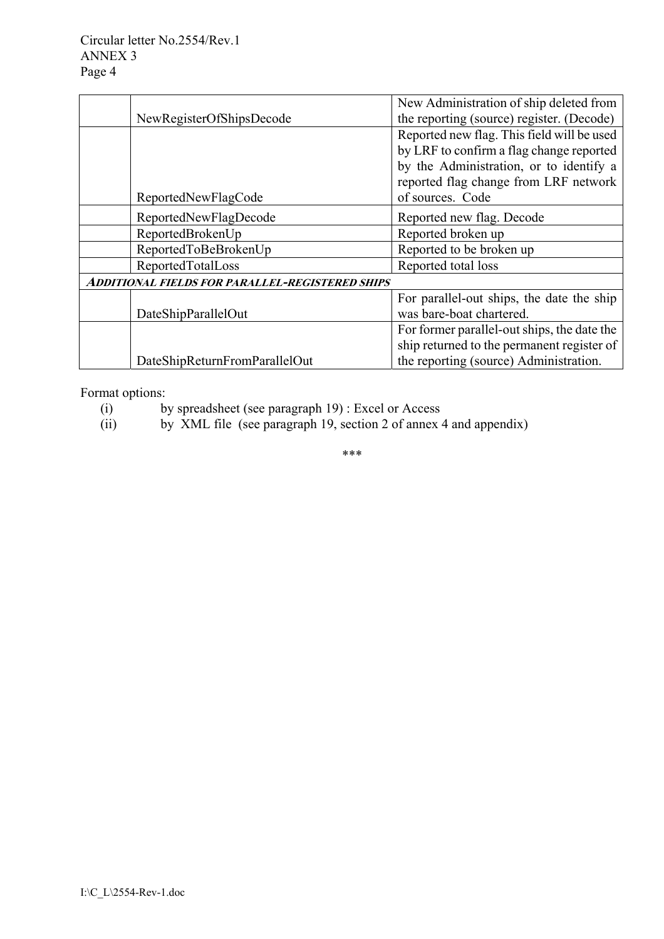|                                                 | New Administration of ship deleted from     |
|-------------------------------------------------|---------------------------------------------|
| NewRegisterOfShipsDecode                        | the reporting (source) register. (Decode)   |
|                                                 | Reported new flag. This field will be used  |
|                                                 | by LRF to confirm a flag change reported    |
|                                                 | by the Administration, or to identify a     |
|                                                 | reported flag change from LRF network       |
| ReportedNewFlagCode                             | of sources. Code                            |
| ReportedNewFlagDecode                           | Reported new flag. Decode                   |
| ReportedBrokenUp                                | Reported broken up                          |
| ReportedToBeBrokenUp                            | Reported to be broken up                    |
| ReportedTotalLoss                               | Reported total loss                         |
| Additional fields for parallel-registered ships |                                             |
|                                                 | For parallel-out ships, the date the ship   |
| DateShipParallelOut                             | was bare-boat chartered.                    |
|                                                 | For former parallel-out ships, the date the |
|                                                 | ship returned to the permanent register of  |
| DateShipReturnFromParallelOut                   | the reporting (source) Administration.      |

Format options:

- (i) by spreadsheet (see paragraph 19) : Excel or Access
- (ii) by XML file (see paragraph 19, section 2 of annex 4 and appendix)

\*\*\*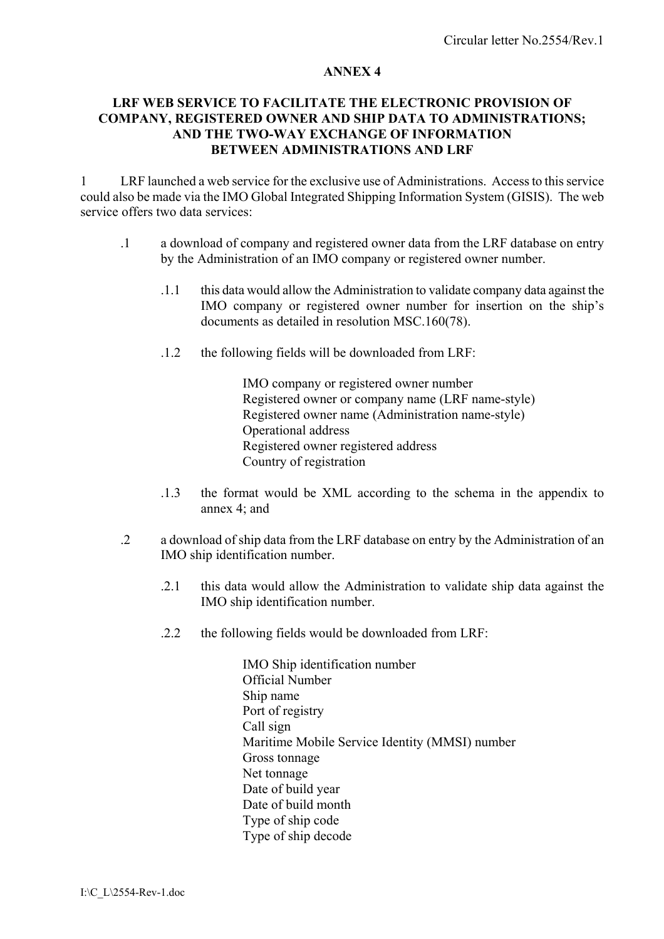## **LRF WEB SERVICE TO FACILITATE THE ELECTRONIC PROVISION OF COMPANY, REGISTERED OWNER AND SHIP DATA TO ADMINISTRATIONS; AND THE TWO-WAY EXCHANGE OF INFORMATION BETWEEN ADMINISTRATIONS AND LRF**

1 LRF launched a web service for the exclusive use of Administrations. Access to this service could also be made via the IMO Global Integrated Shipping Information System (GISIS). The web service offers two data services:

- .1 a download of company and registered owner data from the LRF database on entry by the Administration of an IMO company or registered owner number.
	- .1.1 this data would allow the Administration to validate company data against the IMO company or registered owner number for insertion on the ship's documents as detailed in resolution MSC.160(78).
	- .1.2 the following fields will be downloaded from LRF:

IMO company or registered owner number Registered owner or company name (LRF name-style) Registered owner name (Administration name-style) Operational address Registered owner registered address Country of registration

- .1.3 the format would be XML according to the schema in the appendix to annex  $4$  and
- .2 a download of ship data from the LRF database on entry by the Administration of an IMO ship identification number.
	- .2.1 this data would allow the Administration to validate ship data against the IMO ship identification number.
	- .2.2 the following fields would be downloaded from LRF:

IMO Ship identification number Official Number Ship name Port of registry Call sign Maritime Mobile Service Identity (MMSI) number Gross tonnage Net tonnage Date of build year Date of build month Type of ship code Type of ship decode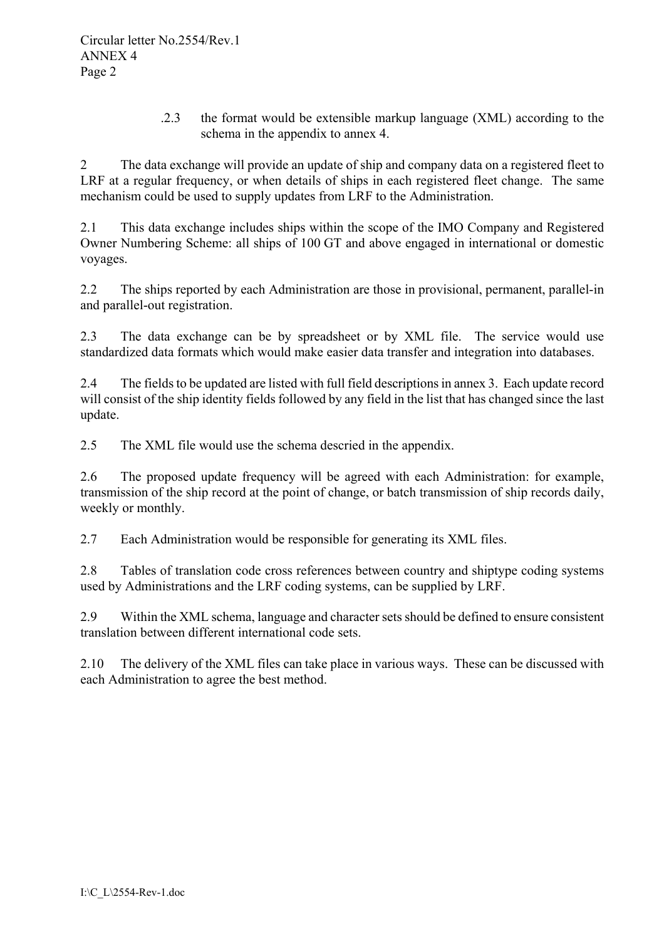.2.3 the format would be extensible markup language (XML) according to the schema in the appendix to annex 4.

2 The data exchange will provide an update of ship and company data on a registered fleet to LRF at a regular frequency, or when details of ships in each registered fleet change. The same mechanism could be used to supply updates from LRF to the Administration.

2.1 This data exchange includes ships within the scope of the IMO Company and Registered Owner Numbering Scheme: all ships of 100 GT and above engaged in international or domestic voyages.

2.2 The ships reported by each Administration are those in provisional, permanent, parallel-in and parallel-out registration.

2.3 The data exchange can be by spreadsheet or by XML file. The service would use standardized data formats which would make easier data transfer and integration into databases.

2.4 The fields to be updated are listed with full field descriptions in annex 3. Each update record will consist of the ship identity fields followed by any field in the list that has changed since the last update.

2.5 The XML file would use the schema descried in the appendix.

2.6 The proposed update frequency will be agreed with each Administration: for example, transmission of the ship record at the point of change, or batch transmission of ship records daily, weekly or monthly.

2.7 Each Administration would be responsible for generating its XML files.

2.8 Tables of translation code cross references between country and shiptype coding systems used by Administrations and the LRF coding systems, can be supplied by LRF.

2.9 Within the XML schema, language and character sets should be defined to ensure consistent translation between different international code sets.

2.10 The delivery of the XML files can take place in various ways. These can be discussed with each Administration to agree the best method.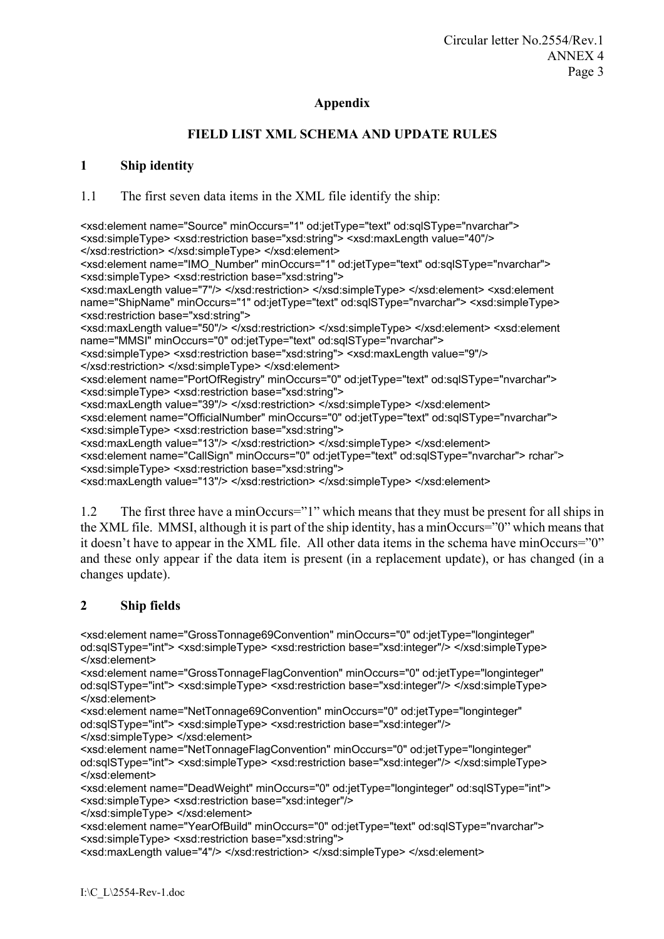### **Appendix**

# **FIELD LIST XML SCHEMA AND UPDATE RULES**

### **1 Ship identity**

1.1 The first seven data items in the XML file identify the ship:

<xsd:element name="Source" minOccurs="1" od:jetType="text" od:sqlSType="nvarchar"> <xsd:simpleType> <xsd:restriction base="xsd:string"> <xsd:maxLength value="40"/> </xsd:restriction> </xsd:simpleType> </xsd:element> <xsd:element name="IMO\_Number" minOccurs="1" od:jetType="text" od:sqlSType="nvarchar"> <xsd:simpleType> <xsd:restriction base="xsd:string"> <xsd:maxLength value="7"/> </xsd:restriction> </xsd:simpleType> </xsd:element> <xsd:element name="ShipName" minOccurs="1" od:jetType="text" od:sqlSType="nvarchar"> <xsd:simpleType> <xsd:restriction base="xsd:string"> <xsd:maxLength value="50"/> </xsd:restriction> </xsd:simpleType> </xsd:element> <xsd:element name="MMSI" minOccurs="0" od:jetType="text" od:sqlSType="nvarchar"> <xsd:simpleType> <xsd:restriction base="xsd:string"> <xsd:maxLength value="9"/> </xsd:restriction> </xsd:simpleType> </xsd:element> <xsd:element name="PortOfRegistry" minOccurs="0" od:jetType="text" od:sqlSType="nvarchar"> <xsd:simpleType> <xsd:restriction base="xsd:string"> <xsd:maxLength value="39"/> </xsd:restriction> </xsd:simpleType> </xsd:element> <xsd:element name="OfficialNumber" minOccurs="0" od:jetType="text" od:sqlSType="nvarchar"> <xsd:simpleType> <xsd:restriction base="xsd:string"> <xsd:maxLength value="13"/> </xsd:restriction> </xsd:simpleType> </xsd:element> <xsd:element name="CallSign" minOccurs="0" od:jetType="text" od:sqlSType="nvarchar"> rcharî> <xsd:simpleType> <xsd:restriction base="xsd:string"> <xsd:maxLength value="13"/> </xsd:restriction> </xsd:simpleType> </xsd:element>

1.2 The first three have a minOccurs="1" which means that they must be present for all ships in the XML file. MMSI, although it is part of the ship identity, has a minOccurs= $"0"$  which means that it doesn't have to appear in the XML file. All other data items in the schema have minOccurs= $"0"$ and these only appear if the data item is present (in a replacement update), or has changed (in a changes update).

# **2 Ship fields**

<xsd:element name="GrossTonnage69Convention" minOccurs="0" od:jetType="longinteger" od:sqlSType="int"> <xsd:simpleType> <xsd:restriction base="xsd:integer"/> </xsd:simpleType> </xsd:element>

<xsd:element name="GrossTonnageFlagConvention" minOccurs="0" od:jetType="longinteger" od:sqlSType="int"> <xsd:simpleType> <xsd:restriction base="xsd:integer"/> </xsd:simpleType> </xsd:element>

<xsd:element name="NetTonnage69Convention" minOccurs="0" od:jetType="longinteger" od:sqlSType="int"> <xsd:simpleType> <xsd:restriction base="xsd:integer"/> </xsd:simpleType> </xsd:element>

<xsd:element name="NetTonnageFlagConvention" minOccurs="0" od:jetType="longinteger" od:sqlSType="int"> <xsd:simpleType> <xsd:restriction base="xsd:integer"/> </xsd:simpleType> </xsd:element>

<xsd:element name="DeadWeight" minOccurs="0" od:jetType="longinteger" od:sqlSType="int"> <xsd:simpleType> <xsd:restriction base="xsd:integer"/>

</xsd:simpleType> </xsd:element>

<xsd:element name="YearOfBuild" minOccurs="0" od:jetType="text" od:sqlSType="nvarchar"> <xsd:simpleType> <xsd:restriction base="xsd:string">

<xsd:maxLength value="4"/> </xsd:restriction> </xsd:simpleType> </xsd:element>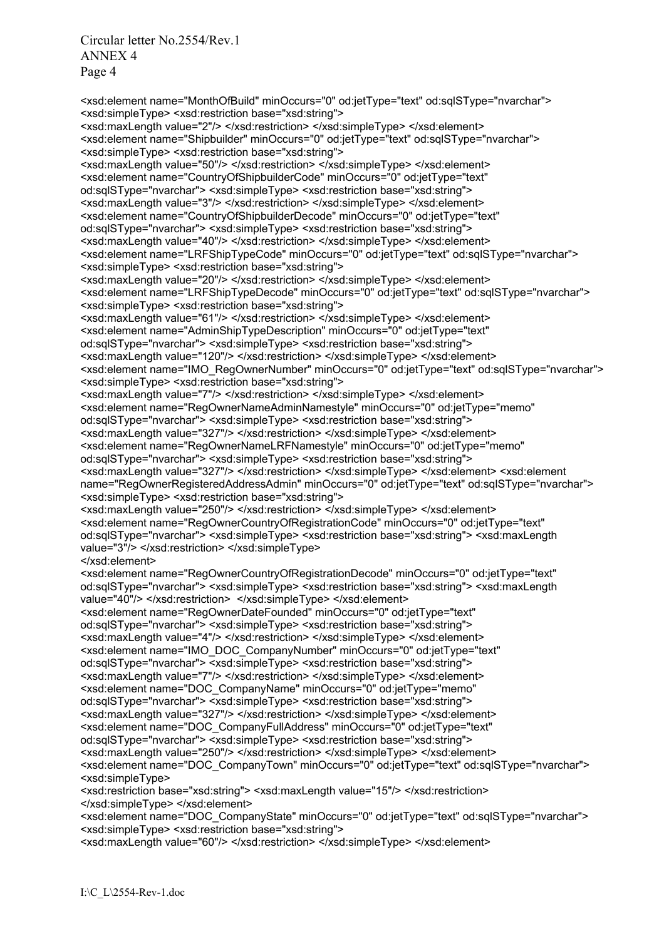Circular letter No.2554/Rev.1 ANNEX 4 Page 4

<xsd:element name="MonthOfBuild" minOccurs="0" od:jetType="text" od:sqlSType="nvarchar"> <xsd:simpleType> <xsd:restriction base="xsd:string"> <xsd:maxLength value="2"/> </xsd:restriction> </xsd:simpleType> </xsd:element> <xsd:element name="Shipbuilder" minOccurs="0" od:jetType="text" od:sqlSType="nvarchar"> <xsd:simpleType> <xsd:restriction base="xsd:string"> <xsd:maxLength value="50"/> </xsd:restriction> </xsd:simpleType> </xsd:element> <xsd:element name="CountryOfShipbuilderCode" minOccurs="0" od:jetType="text" od:sqlSType="nvarchar"> <xsd:simpleType> <xsd:restriction base="xsd:string"> <xsd:maxLength value="3"/> </xsd:restriction> </xsd:simpleType> </xsd:element> <xsd:element name="CountryOfShipbuilderDecode" minOccurs="0" od:jetType="text" od:sqlSType="nvarchar"> <xsd:simpleType> <xsd:restriction base="xsd:string"> <xsd:maxLength value="40"/> </xsd:restriction> </xsd:simpleType> </xsd:element> <xsd:element name="LRFShipTypeCode" minOccurs="0" od:jetType="text" od:sqlSType="nvarchar"> <xsd:simpleType> <xsd:restriction base="xsd:string"> <xsd:maxLength value="20"/> </xsd:restriction> </xsd:simpleType> </xsd:element> <xsd:element name="LRFShipTypeDecode" minOccurs="0" od:jetType="text" od:sqlSType="nvarchar"> <xsd:simpleType> <xsd:restriction base="xsd:string"> <xsd:maxLength value="61"/> </xsd:restriction> </xsd:simpleType> </xsd:element> <xsd:element name="AdminShipTypeDescription" minOccurs="0" od:jetType="text" od:sqlSType="nvarchar"> <xsd:simpleType> <xsd:restriction base="xsd:string"> <xsd:maxLength value="120"/> </xsd:restriction> </xsd:simpleType> </xsd:element> <xsd:element name="IMO\_RegOwnerNumber" minOccurs="0" od:jetType="text" od:sqlSType="nvarchar"> <xsd:simpleType> <xsd:restriction base="xsd:string"> <xsd:maxLength value="7"/> </xsd:restriction> </xsd:simpleType> </xsd:element> <xsd:element name="RegOwnerNameAdminNamestyle" minOccurs="0" od:jetType="memo" od:sqlSType="nvarchar"> <xsd:simpleType> <xsd:restriction base="xsd:string"> <xsd:maxLength value="327"/> </xsd:restriction> </xsd:simpleType> </xsd:element> <xsd:element name="RegOwnerNameLRFNamestyle" minOccurs="0" od:jetType="memo" od:sqlSType="nvarchar"> <xsd:simpleType> <xsd:restriction base="xsd:string"> <xsd:maxLength value="327"/> </xsd:restriction> </xsd:simpleType> </xsd:element> <xsd:element name="RegOwnerRegisteredAddressAdmin" minOccurs="0" od:jetType="text" od:sqlSType="nvarchar"> <xsd:simpleType> <xsd:restriction base="xsd:string"> <xsd:maxLength value="250"/> </xsd:restriction> </xsd:simpleType> </xsd:element> <xsd:element name="RegOwnerCountryOfRegistrationCode" minOccurs="0" od:jetType="text" od:sqlSType="nvarchar"> <xsd:simpleType> <xsd:restriction base="xsd:string"> <xsd:maxLength value="3"/> </xsd:restriction> </xsd:simpleType> </xsd:element> <xsd:element name="RegOwnerCountryOfRegistrationDecode" minOccurs="0" od:jetType="text" od:sqlSType="nvarchar"> <xsd:simpleType> <xsd:restriction base="xsd:string"> <xsd:maxLength value="40"/> </xsd:restriction> </xsd:simpleType> </xsd:element> <xsd:element name="RegOwnerDateFounded" minOccurs="0" od:jetType="text" od:sqlSType="nvarchar"> <xsd:simpleType> <xsd:restriction base="xsd:string"> <xsd:maxLength value="4"/> </xsd:restriction> </xsd:simpleType> </xsd:element> <xsd:element name="IMO\_DOC\_CompanyNumber" minOccurs="0" od:jetType="text" od:sqlSType="nvarchar"> <xsd:simpleType> <xsd:restriction base="xsd:string"> <xsd:maxLength value="7"/> </xsd:restriction> </xsd:simpleType> </xsd:element> <xsd:element name="DOC\_CompanyName" minOccurs="0" od:jetType="memo" od:sqlSType="nvarchar"> <xsd:simpleType> <xsd:restriction base="xsd:string"> <xsd:maxLength value="327"/> </xsd:restriction> </xsd:simpleType> </xsd:element> <xsd:element name="DOC\_CompanyFullAddress" minOccurs="0" od:jetType="text" od:sqlSType="nvarchar"> <xsd:simpleType> <xsd:restriction base="xsd:string"> <xsd:maxLength value="250"/> </xsd:restriction> </xsd:simpleType> </xsd:element> <xsd:element name="DOC\_CompanyTown" minOccurs="0" od:jetType="text" od:sqlSType="nvarchar"> <xsd:simpleType> <xsd:restriction base="xsd:string"> <xsd:maxLength value="15"/> </xsd:restriction> </xsd:simpleType> </xsd:element>

<xsd:element name="DOC\_CompanyState" minOccurs="0" od:jetType="text" od:sqlSType="nvarchar"> <xsd:simpleType> <xsd:restriction base="xsd:string">

<xsd:maxLength value="60"/> </xsd:restriction> </xsd:simpleType> </xsd:element>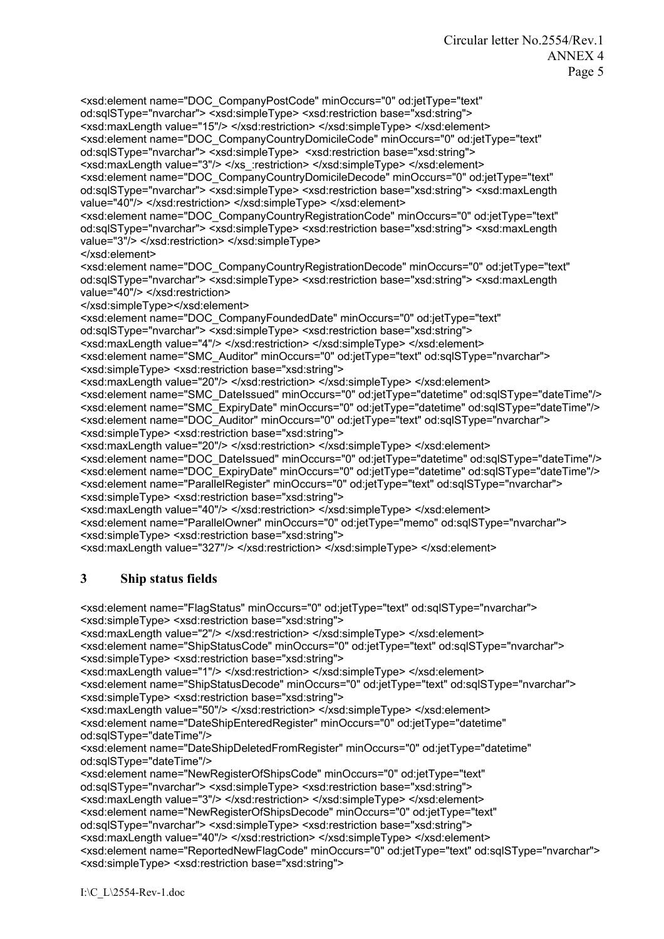<xsd:element name="DOC\_CompanyPostCode" minOccurs="0" od:jetType="text" od:sqlSType="nvarchar"> <xsd:simpleType> <xsd:restriction base="xsd:string"> <xsd:maxLength value="15"/> </xsd:restriction> </xsd:simpleType> </xsd:element> <xsd:element name="DOC\_CompanyCountryDomicileCode" minOccurs="0" od:jetType="text" od:sqlSType="nvarchar"> <xsd:simpleType> <xsd:restriction base="xsd:string"> <xsd:maxLength value="3"/> </xs\_:restriction> </xsd:simpleType> </xsd:element> <xsd:element name="DOC\_CompanyCountryDomicileDecode" minOccurs="0" od:jetType="text" od:sqlSType="nvarchar"> <xsd:simpleType> <xsd:restriction base="xsd:string"> <xsd:maxLength value="40"/> </xsd:restriction> </xsd:simpleType> </xsd:element>

<xsd:element name="DOC\_CompanyCountryRegistrationCode" minOccurs="0" od:jetType="text" od:sqlSType="nvarchar"> <xsd:simpleType> <xsd:restriction base="xsd:string"> <xsd:maxLength value="3"/> </xsd:restriction> </xsd:simpleType>

</xsd:element>

<xsd:element name="DOC\_CompanyCountryRegistrationDecode" minOccurs="0" od:jetType="text" od:sqlSType="nvarchar"> <xsd:simpleType> <xsd:restriction base="xsd:string"> <xsd:maxLength value="40"/> </xsd:restriction>

</xsd:simpleType></xsd:element>

<xsd:element name="DOC\_CompanyFoundedDate" minOccurs="0" od:jetType="text"

od:sqlSType="nvarchar"> <xsd:simpleType> <xsd:restriction base="xsd:string">

<xsd:maxLength value="4"/> </xsd:restriction> </xsd:simpleType> </xsd:element>

<xsd:element name="SMC\_Auditor" minOccurs="0" od:jetType="text" od:sqlSType="nvarchar"> <xsd:simpleType> <xsd:restriction base="xsd:string">

<xsd:maxLength value="20"/> </xsd:restriction> </xsd:simpleType> </xsd:element>

<xsd:element name="SMC\_DateIssued" minOccurs="0" od:jetType="datetime" od:sqlSType="dateTime"/> <xsd:element name="SMC\_ExpiryDate" minOccurs="0" od:jetType="datetime" od:sqlSType="dateTime"/> <xsd:element name="DOC\_Auditor" minOccurs="0" od:jetType="text" od:sqlSType="nvarchar"> <xsd:simpleType> <xsd:restriction base="xsd:string">

<xsd:maxLength value="20"/> </xsd:restriction> </xsd:simpleType> </xsd:element>

<xsd:element name="DOC\_DateIssued" minOccurs="0" od:jetType="datetime" od:sqlSType="dateTime"/> <xsd:element name="DOC\_ExpiryDate" minOccurs="0" od:jetType="datetime" od:sqlSType="dateTime"/> <xsd:element name="ParallelRegister" minOccurs="0" od:jetType="text" od:sqlSType="nvarchar"> <xsd:simpleType> <xsd:restriction base="xsd:string">

<xsd:maxLength value="40"/> </xsd:restriction> </xsd:simpleType> </xsd:element>

<xsd:element name="ParallelOwner" minOccurs="0" od:jetType="memo" od:sqlSType="nvarchar"> <xsd:simpleType> <xsd:restriction base="xsd:string">

<xsd:maxLength value="327"/> </xsd:restriction> </xsd:simpleType> </xsd:element>

# **3 Ship status fields**

<xsd:element name="FlagStatus" minOccurs="0" od:jetType="text" od:sqlSType="nvarchar"> <xsd:simpleType> <xsd:restriction base="xsd:string">

<xsd:maxLength value="2"/> </xsd:restriction> </xsd:simpleType> </xsd:element>

<xsd:element name="ShipStatusCode" minOccurs="0" od:jetType="text" od:sqlSType="nvarchar"> <xsd:simpleType> <xsd:restriction base="xsd:string">

<xsd:maxLength value="1"/> </xsd:restriction> </xsd:simpleType> </xsd:element>

<xsd:element name="ShipStatusDecode" minOccurs="0" od:jetType="text" od:sqlSType="nvarchar"> <xsd:simpleType> <xsd:restriction base="xsd:string">

<xsd:maxLength value="50"/> </xsd:restriction> </xsd:simpleType> </xsd:element> <xsd:element name="DateShipEnteredRegister" minOccurs="0" od:jetType="datetime" od:sqlSType="dateTime"/>

<xsd:element name="DateShipDeletedFromRegister" minOccurs="0" od:jetType="datetime" od:sqlSType="dateTime"/>

<xsd:element name="NewRegisterOfShipsCode" minOccurs="0" od:jetType="text" od:sqlSType="nvarchar"> <xsd:simpleType> <xsd:restriction base="xsd:string"> <xsd:maxLength value="3"/> </xsd:restriction> </xsd:simpleType> </xsd:element> <xsd:element name="NewRegisterOfShipsDecode" minOccurs="0" od:jetType="text" od:sqlSType="nvarchar"> <xsd:simpleType> <xsd:restriction base="xsd:string"> <xsd:maxLength value="40"/> </xsd:restriction> </xsd:simpleType> </xsd:element> <xsd:element name="ReportedNewFlagCode" minOccurs="0" od:jetType="text" od:sqlSType="nvarchar"> <xsd:simpleType> <xsd:restriction base="xsd:string">